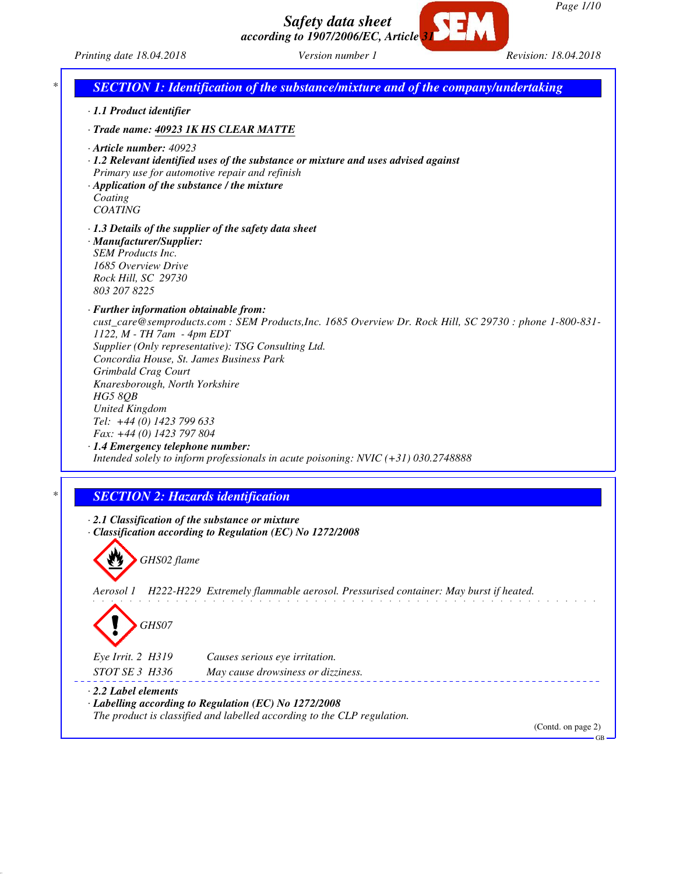*Page 1/10*

*Printing date 18.04.2018 Version number 1 Revision: 18.04.2018*

| · 1.1 Product identifier                                                                                                                                                                 |                                                                                                                                                                                                            |
|------------------------------------------------------------------------------------------------------------------------------------------------------------------------------------------|------------------------------------------------------------------------------------------------------------------------------------------------------------------------------------------------------------|
| · Trade name: 40923 1K HS CLEAR MATTE                                                                                                                                                    |                                                                                                                                                                                                            |
| $\cdot$ Article number: 40923<br>· Application of the substance / the mixture<br>Coating<br><b>COATING</b>                                                                               | $\cdot$ 1.2 Relevant identified uses of the substance or mixture and uses advised against<br>Primary use for automotive repair and refinish                                                                |
| · Manufacturer/Supplier:<br><b>SEM Products Inc.</b><br>1685 Overview Drive<br>Rock Hill, SC 29730<br>803 207 8225                                                                       | $\cdot$ 1.3 Details of the supplier of the safety data sheet                                                                                                                                               |
| · Further information obtainable from:<br>1122, M - TH 7am - 4pm EDT<br>Concordia House, St. James Business Park<br>Grimbald Crag Court<br>Knaresborough, North Yorkshire<br>$HGS$ $8QB$ | cust_care@semproducts.com: SEM Products, Inc. 1685 Overview Dr. Rock Hill, SC 29730 : phone 1-800-831-<br>Supplier (Only representative): TSG Consulting Ltd.                                              |
| <b>United Kingdom</b><br>Tel: +44 (0) 1423 799 633<br>Fax: +44 (0) 1423 797 804<br>· 1.4 Emergency telephone number:                                                                     | Intended solely to inform professionals in acute poisoning: $NVIC (+31) 030.2748888$                                                                                                                       |
| <b>SECTION 2: Hazards identification</b><br>GHS02 flame<br>Aerosol 1                                                                                                                     | $\cdot$ 2.1 Classification of the substance or mixture<br>· Classification according to Regulation (EC) No 1272/2008<br>H222-H229 Extremely flammable aerosol. Pressurised container: May burst if heated. |
| GHS07<br>Eye Irrit. 2 H319                                                                                                                                                               | Causes serious eye irritation.                                                                                                                                                                             |
| STOT SE 3 H336<br>$\cdot$ 2.2 Label elements                                                                                                                                             | May cause drowsiness or dizziness.                                                                                                                                                                         |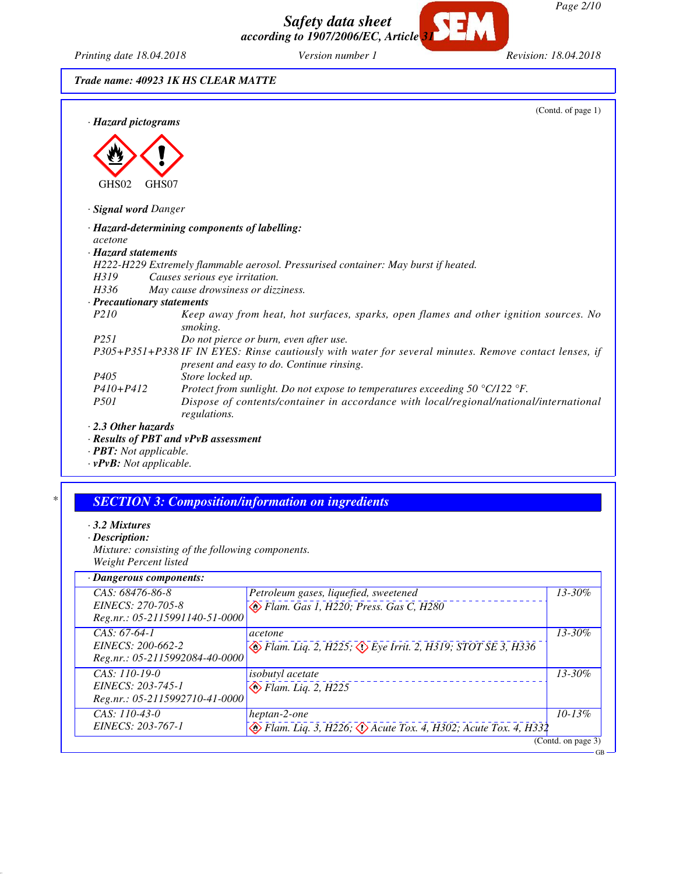*Page 2/10*

GB

*Safety data sheet according to 1907/2006/EC, Article 31*

*Printing date 18.04.2018 Version number 1 Revision: 18.04.2018*

*Trade name: 40923 1K HS CLEAR MATTE*

|                                | (Contd. of page 1)                                                                                                                                 |
|--------------------------------|----------------------------------------------------------------------------------------------------------------------------------------------------|
| · Hazard pictograms            |                                                                                                                                                    |
|                                |                                                                                                                                                    |
|                                |                                                                                                                                                    |
|                                |                                                                                                                                                    |
|                                |                                                                                                                                                    |
| GHS02                          | GHS07                                                                                                                                              |
| <b>Signal word Danger</b>      |                                                                                                                                                    |
|                                | · Hazard-determining components of labelling:                                                                                                      |
| acetone                        |                                                                                                                                                    |
| · Hazard statements            |                                                                                                                                                    |
|                                | H222-H229 Extremely flammable aerosol. Pressurised container: May burst if heated.                                                                 |
| H319                           | Causes serious eye irritation.                                                                                                                     |
| H336                           | May cause drowsiness or dizziness.                                                                                                                 |
| · Precautionary statements     |                                                                                                                                                    |
| P <sub>210</sub>               | Keep away from heat, hot surfaces, sparks, open flames and other ignition sources. No<br>smoking.                                                  |
| P251                           | Do not pierce or burn, even after use.                                                                                                             |
|                                | P305+P351+P338 IF IN EYES: Rinse cautiously with water for several minutes. Remove contact lenses, if<br>present and easy to do. Continue rinsing. |
| P <sub>405</sub>               | Store locked up.                                                                                                                                   |
| $P410 + P412$                  | Protect from sunlight. Do not expose to temperatures exceeding 50 $\degree$ C/122 $\degree$ F.                                                     |
| <i>P501</i>                    | Dispose of contents/container in accordance with local/regional/national/international<br>regulations.                                             |
| $\cdot$ 2.3 Other hazards      |                                                                                                                                                    |
|                                | · Results of PBT and vPvB assessment                                                                                                               |
| · <b>PBT</b> : Not applicable. |                                                                                                                                                    |

*· vPvB: Not applicable.*

# *\* SECTION 3: Composition/information on ingredients*

*· 3.2 Mixtures*

*· Description:*

*Mixture: consisting of the following components. Weight Percent listed*

## *· Dangerous components:*

| CAS: 68476-86-8                | Petroleum gases, liquefied, sweetened                                                | $13 - 30\%$        |
|--------------------------------|--------------------------------------------------------------------------------------|--------------------|
| EINECS: 270-705-8              | $\Leftrightarrow$ Flam. Gas 1, H220; Press. Gas C, H280                              |                    |
| Reg.nr.: 05-2115991140-51-0000 |                                                                                      |                    |
| $CAS: 67-64-1$                 | acetone                                                                              | $13 - 30\%$        |
| EINECS: 200-662-2              | $\circled{Flam. Lig. 2, H225; \circled{F} Eye Irrit. 2, H319; STOTSE 3, H336$        |                    |
| Reg.nr.: 05-2115992084-40-0000 |                                                                                      |                    |
| CAS: 110-19-0                  | <i>isobutyl</i> acetate                                                              | $13 - 30\%$        |
| EINECS: 203-745-1              | $\bigotimes$ Flam. Liq. 2, H225                                                      |                    |
| Reg.nr.: 05-2115992710-41-0000 |                                                                                      |                    |
| $CAS: 110-43-0$                | heptan-2-one                                                                         | $10 - 13\%$        |
| EINECS: 203-767-1              | $\bigotimes$ Flam. Liq. 3, H226; $\bigotimes$ Acute Tox. 4, H302; Acute Tox. 4, H332 |                    |
|                                |                                                                                      | (Contd. on page 3) |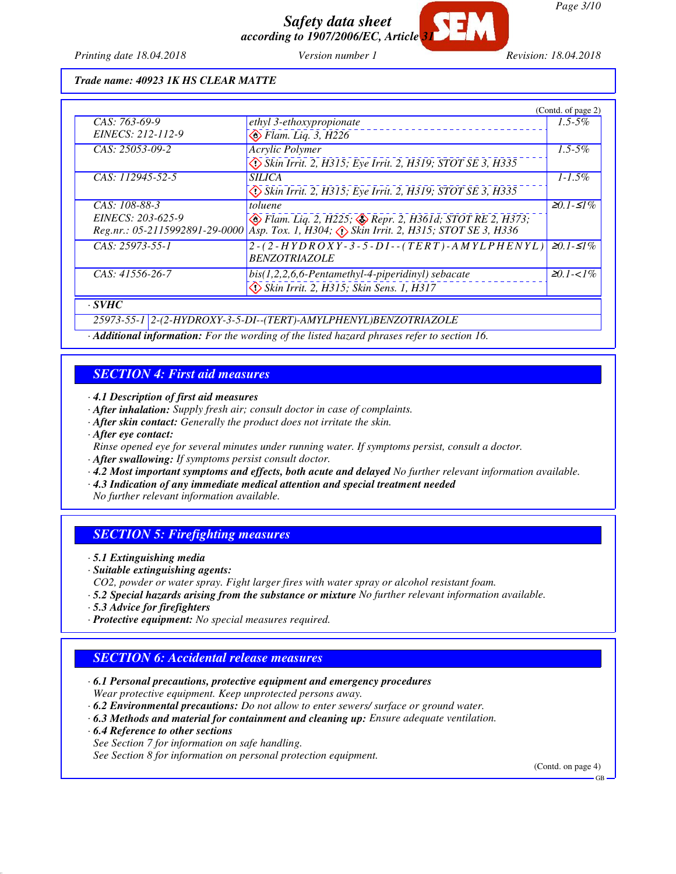*Printing date 18.04.2018 Version number 1 Revision: 18.04.2018*

### *Trade name: 40923 1K HS CLEAR MATTE*

|                                |                                                                                                                                             | (Contd. of page 2) |
|--------------------------------|---------------------------------------------------------------------------------------------------------------------------------------------|--------------------|
| CAS: 763-69-9                  | ethyl 3-ethoxypropionate                                                                                                                    | $1.5 - 5\%$        |
| EINECS: 212-112-9              | $\bullet$ Flam. Liq. 3, H226                                                                                                                |                    |
| CAS: 25053-09-2                | Acrylic Polymer                                                                                                                             | $1.5 - 5\%$        |
|                                | Skin Irrit. 2, H315; Eye Irrit. 2, H319; STOT SE 3, H335                                                                                    |                    |
| CAS: 112945-52-5               | <b>SILICA</b>                                                                                                                               | $1 - 1.5\%$        |
|                                | $\Diamond$ Skin Irrit. 2, H315; Eye Irrit. 2, H319; STOT SE 3, H335                                                                         |                    |
| CAS: 108-88-3                  | toluene                                                                                                                                     | $\geq 0.1 - 51\%$  |
| EINECS: 203-625-9              | <i>Septem. Liq. 2, H225; <b>September 2, H361d; STOT RE 2, H373;</b></i><br>Asp. Tox. 1, H304; <i>Sexia Irrit. 2, H315; STOT SE 3, H336</i> |                    |
| Reg.nr.: 05-2115992891-29-0000 |                                                                                                                                             |                    |
| $CAS: 25973-55-1$              | $2-(2-HYDR OXY-3-5-DI- (TERT)-AMYLPHENYL)$                                                                                                  | $\geq 0.1 - 51\%$  |
|                                | <b>BENZOTRIAZOLE</b>                                                                                                                        |                    |
| CAS: 41556-26-7                | $bis(1,2,2,6,6\text{-}Pentamentyl-4-piperidinyl) sebacate$                                                                                  | $\geq 0.1 - 1\%$   |
|                                | Skin Irrit. 2, H315; Skin Sens. 1, H317                                                                                                     |                    |
| $\cdot$ SVHC                   |                                                                                                                                             |                    |

*25973-55-1 2-(2-HYDROXY-3-5-DI--(TERT)-AMYLPHENYL)BENZOTRIAZOLE*

*· Additional information: For the wording of the listed hazard phrases refer to section 16.*

## *SECTION 4: First aid measures*

- *· 4.1 Description of first aid measures*
- *· After inhalation: Supply fresh air; consult doctor in case of complaints.*
- *· After skin contact: Generally the product does not irritate the skin.*
- *· After eye contact:*
- *Rinse opened eye for several minutes under running water. If symptoms persist, consult a doctor.*
- *· After swallowing: If symptoms persist consult doctor.*
- *· 4.2 Most important symptoms and effects, both acute and delayed No further relevant information available.*
- *· 4.3 Indication of any immediate medical attention and special treatment needed*

*No further relevant information available.*

## *SECTION 5: Firefighting measures*

- *· 5.1 Extinguishing media*
- *· Suitable extinguishing agents:*
- *CO2, powder or water spray. Fight larger fires with water spray or alcohol resistant foam.*
- *· 5.2 Special hazards arising from the substance or mixture No further relevant information available.*
- *· 5.3 Advice for firefighters*
- *· Protective equipment: No special measures required.*

## *SECTION 6: Accidental release measures*

- *· 6.1 Personal precautions, protective equipment and emergency procedures Wear protective equipment. Keep unprotected persons away.*
- *· 6.2 Environmental precautions: Do not allow to enter sewers/ surface or ground water.*
- *· 6.3 Methods and material for containment and cleaning up: Ensure adequate ventilation.*
- *· 6.4 Reference to other sections*

*See Section 7 for information on safe handling. See Section 8 for information on personal protection equipment.*

(Contd. on page 4)

GB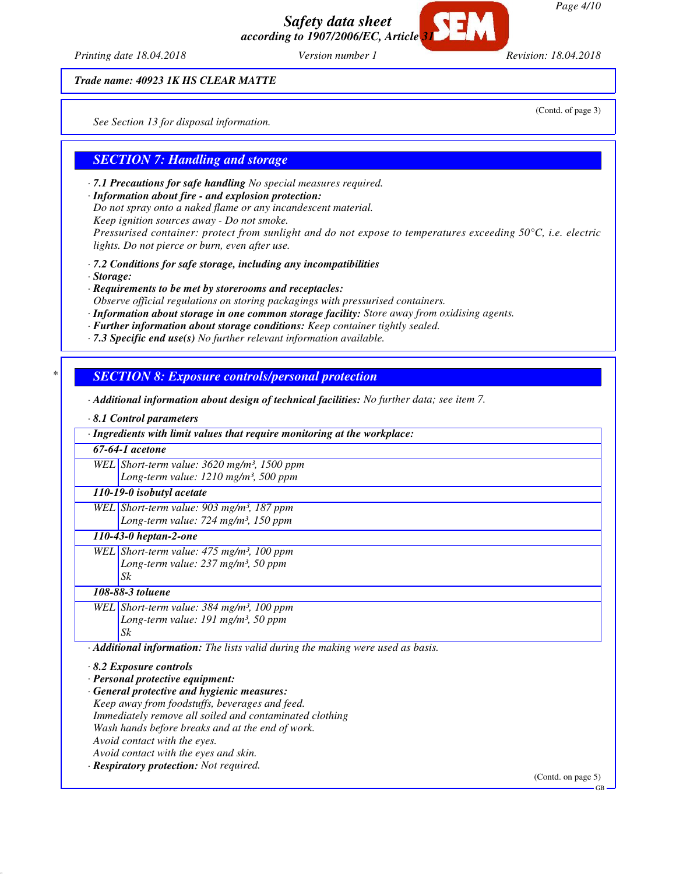*Page 4/10*

*Safety data sheet according to 1907/2006/EC, Article 31*

*Printing date 18.04.2018 Version number 1 Revision: 18.04.2018*

*Trade name: 40923 1K HS CLEAR MATTE*

*See Section 13 for disposal information.*

(Contd. of page 3)

## *SECTION 7: Handling and storage*

*· 7.1 Precautions for safe handling No special measures required.*

- *· Information about fire and explosion protection:*
- *Do not spray onto a naked flame or any incandescent material.*

*Keep ignition sources away - Do not smoke. Pressurised container: protect from sunlight and do not expose to temperatures exceeding 50°C, i.e. electric lights. Do not pierce or burn, even after use.*

- *· 7.2 Conditions for safe storage, including any incompatibilities*
- *· Storage:*
- *· Requirements to be met by storerooms and receptacles: Observe official regulations on storing packagings with pressurised containers.*
- *· Information about storage in one common storage facility: Store away from oxidising agents.*
- *· Further information about storage conditions: Keep container tightly sealed.*
- *· 7.3 Specific end use(s) No further relevant information available.*

## *\* SECTION 8: Exposure controls/personal protection*

- *· Additional information about design of technical facilities: No further data; see item 7.*
- *· 8.1 Control parameters*

| · Ingredients with limit values that require monitoring at the workplace:       |                              |
|---------------------------------------------------------------------------------|------------------------------|
| 67-64-1 acetone                                                                 |                              |
| WEL Short-term value: $3620$ mg/m <sup>3</sup> , 1500 ppm                       |                              |
| Long-term value: 1210 mg/m <sup>3</sup> , 500 ppm                               |                              |
| 110-19-0 isobutyl acetate                                                       |                              |
| WEL Short-term value: 903 mg/m <sup>3</sup> , 187 ppm                           |                              |
| Long-term value: 724 mg/m <sup>3</sup> , 150 ppm                                |                              |
| 110-43-0 heptan-2-one                                                           |                              |
| WEL Short-term value: $475$ mg/m <sup>3</sup> , 100 ppm                         |                              |
| Long-term value: 237 mg/m <sup>3</sup> , 50 ppm                                 |                              |
| Sk                                                                              |                              |
| 108-88-3 toluene                                                                |                              |
| WEL Short-term value: $384$ mg/m <sup>3</sup> , 100 ppm                         |                              |
| Long-term value: 191 mg/m <sup>3</sup> , 50 ppm                                 |                              |
| Sk                                                                              |                              |
| · Additional information: The lists valid during the making were used as basis. |                              |
| $\cdot$ 8.2 Exposure controls                                                   |                              |
| · Personal protective equipment:                                                |                              |
| · General protective and hygienic measures:                                     |                              |
| Keep away from foodstuffs, beverages and feed.                                  |                              |
| Immediately remove all soiled and contaminated clothing                         |                              |
| Wash hands before breaks and at the end of work.                                |                              |
| Avoid contact with the eyes.                                                    |                              |
| Avoid contact with the eyes and skin.                                           |                              |
| · Respiratory protection: Not required.                                         |                              |
|                                                                                 | (Contd. on page 5)<br>$GB -$ |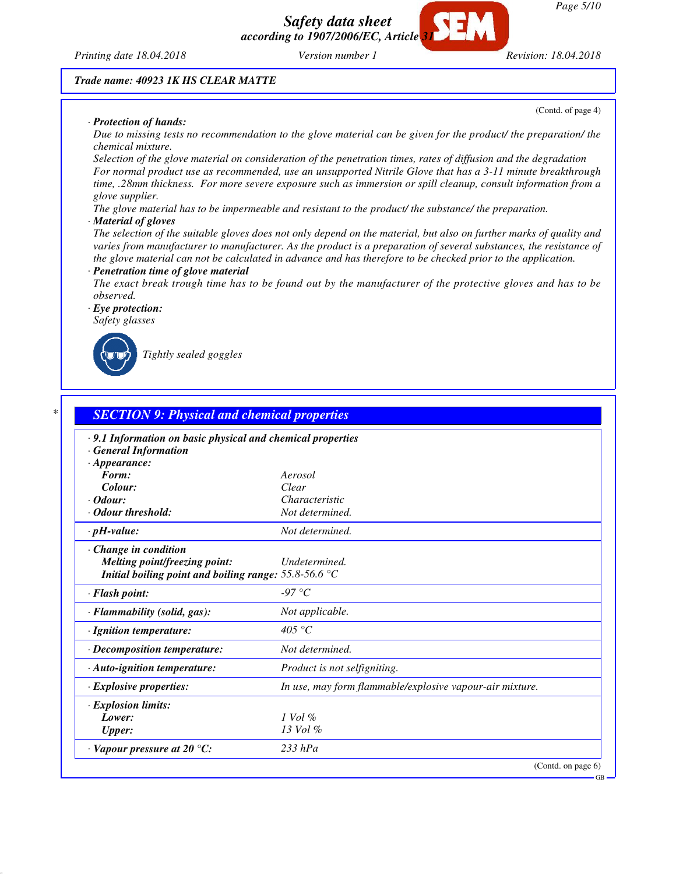(Contd. of page 4)

*Printing date 18.04.2018 Version number 1 Revision: 18.04.2018*

*Trade name: 40923 1K HS CLEAR MATTE*

#### *· Protection of hands:*

*Due to missing tests no recommendation to the glove material can be given for the product/ the preparation/ the chemical mixture.*

*Selection of the glove material on consideration of the penetration times, rates of diffusion and the degradation For normal product use as recommended, use an unsupported Nitrile Glove that has a 3-11 minute breakthrough time, .28mm thickness. For more severe exposure such as immersion or spill cleanup, consult information from a glove supplier.*

*The glove material has to be impermeable and resistant to the product/ the substance/ the preparation.*

#### *· Material of gloves*

*The selection of the suitable gloves does not only depend on the material, but also on further marks of quality and varies from manufacturer to manufacturer. As the product is a preparation of several substances, the resistance of the glove material can not be calculated in advance and has therefore to be checked prior to the application.*

#### *· Penetration time of glove material*

*The exact break trough time has to be found out by the manufacturer of the protective gloves and has to be observed.*

*· Eye protection: Safety glasses*



*Tightly sealed goggles*

| · 9.1 Information on basic physical and chemical properties    |                                                          |
|----------------------------------------------------------------|----------------------------------------------------------|
| <b>General Information</b>                                     |                                                          |
| $\cdot$ Appearance:                                            | Aerosol                                                  |
| Form:<br>Colour:                                               | Clear                                                    |
| $\cdot$ Odour:                                                 | Characteristic                                           |
| • Odour threshold:                                             | Not determined.                                          |
| $\cdot$ pH-value:                                              | Not determined.                                          |
| Change in condition                                            |                                                          |
| <b>Melting point/freezing point:</b>                           | Undetermined.                                            |
| Initial boiling point and boiling range: 55.8-56.6 $\degree$ C |                                                          |
| · Flash point:                                                 | $-97$ °C                                                 |
| $\cdot$ Flammability (solid, gas):                             | Not applicable.                                          |
| · Ignition temperature:                                        | 405 °C                                                   |
| · Decomposition temperature:                                   | Not determined.                                          |
| · Auto-ignition temperature:                                   | Product is not selfigniting.                             |
| $\cdot$ Explosive properties:                                  | In use, may form flammable/explosive vapour-air mixture. |
| · Explosion limits:                                            |                                                          |
| Lower:                                                         | $1$ Vol $\%$                                             |
| <b>Upper:</b>                                                  | $13$ Vol $%$                                             |
| $\cdot$ Vapour pressure at 20 °C:                              | $233$ hPa                                                |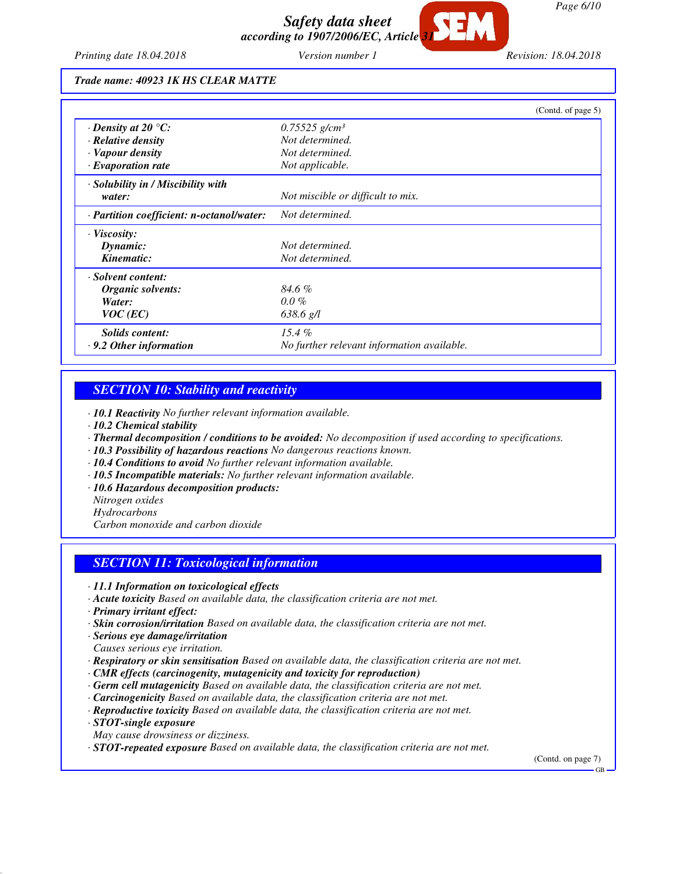*Printing date 18.04.2018 Version number 1 Revision: 18.04.2018*

*Trade name: 40923 1K HS CLEAR MATTE*

|                                           | (Contd. of page $5$ )                      |
|-------------------------------------------|--------------------------------------------|
| $\cdot$ Density at 20 °C:                 | $0.75525$ g/cm <sup>3</sup>                |
| $\cdot$ Relative density                  | Not determined.                            |
| · Vapour density                          | Not determined.                            |
| $\cdot$ Evaporation rate                  | Not applicable.                            |
| $\cdot$ Solubility in / Miscibility with  |                                            |
| water:                                    | Not miscible or difficult to mix.          |
| · Partition coefficient: n-octanol/water: | Not determined.                            |
| $\cdot$ Viscosity:                        |                                            |
| Dynamic:                                  | Not determined.                            |
| Kinematic:                                | Not determined.                            |
| · Solvent content:                        |                                            |
| Organic solvents:                         | 84.6%                                      |
| Water:                                    | $0.0\%$                                    |
| $VOC$ (EC)                                | $638.6$ g/l                                |
| <b>Solids content:</b>                    | $15.4\%$                                   |
| $\cdot$ 9.2 Other information             | No further relevant information available. |

## *SECTION 10: Stability and reactivity*

*· 10.1 Reactivity No further relevant information available.*

- *· 10.2 Chemical stability*
- *· Thermal decomposition / conditions to be avoided: No decomposition if used according to specifications.*
- *· 10.3 Possibility of hazardous reactions No dangerous reactions known.*
- *· 10.4 Conditions to avoid No further relevant information available.*
- *· 10.5 Incompatible materials: No further relevant information available.*
- *· 10.6 Hazardous decomposition products:*
- *Nitrogen oxides*
- *Hydrocarbons*

*Carbon monoxide and carbon dioxide*

## *SECTION 11: Toxicological information*

- *· 11.1 Information on toxicological effects*
- *· Acute toxicity Based on available data, the classification criteria are not met.*
- *· Primary irritant effect:*
- *· Skin corrosion/irritation Based on available data, the classification criteria are not met.*
- *· Serious eye damage/irritation*
- *Causes serious eye irritation.*
- *· Respiratory or skin sensitisation Based on available data, the classification criteria are not met.*
- *· CMR effects (carcinogenity, mutagenicity and toxicity for reproduction)*
- *· Germ cell mutagenicity Based on available data, the classification criteria are not met.*
- *· Carcinogenicity Based on available data, the classification criteria are not met.*
- *· Reproductive toxicity Based on available data, the classification criteria are not met.*
- *· STOT-single exposure*
- *May cause drowsiness or dizziness.*
- *· STOT-repeated exposure Based on available data, the classification criteria are not met.*

(Contd. on page 7)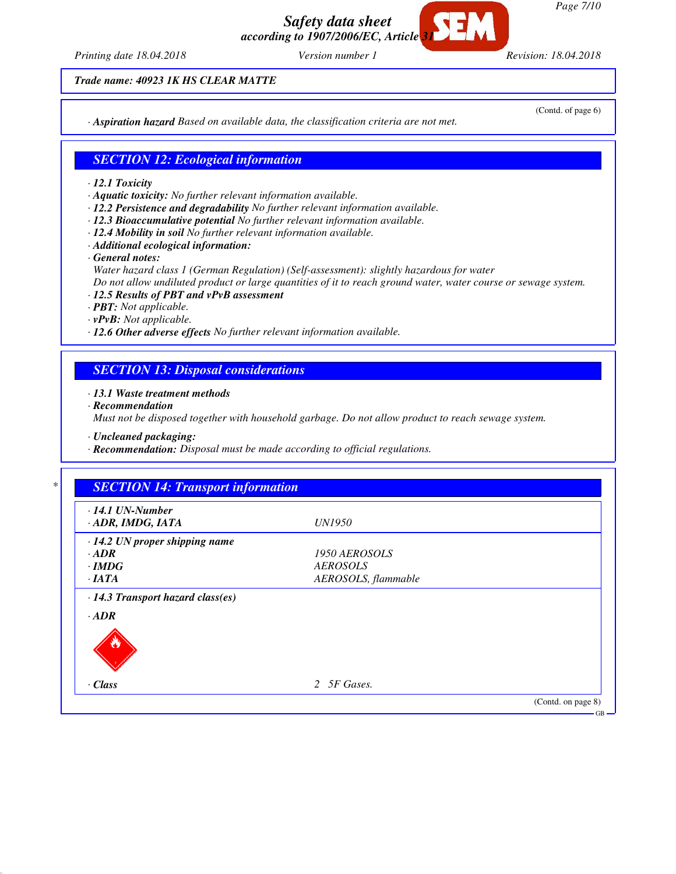

*Printing date 18.04.2018 Version number 1 Revision: 18.04.2018*

(Contd. of page 6)

*Trade name: 40923 1K HS CLEAR MATTE*

*· Aspiration hazard Based on available data, the classification criteria are not met.*

# *SECTION 12: Ecological information*

- *· 12.1 Toxicity*
- *· Aquatic toxicity: No further relevant information available.*
- *· 12.2 Persistence and degradability No further relevant information available.*
- *· 12.3 Bioaccumulative potential No further relevant information available.*
- *· 12.4 Mobility in soil No further relevant information available.*
- *· Additional ecological information:*
- *· General notes:*

*Water hazard class 1 (German Regulation) (Self-assessment): slightly hazardous for water Do not allow undiluted product or large quantities of it to reach ground water, water course or sewage system.*

- *· 12.5 Results of PBT and vPvB assessment*
- *· PBT: Not applicable.*
- *· vPvB: Not applicable.*
- *· 12.6 Other adverse effects No further relevant information available.*

## *SECTION 13: Disposal considerations*

#### *· 13.1 Waste treatment methods*

*· Recommendation*

*Must not be disposed together with household garbage. Do not allow product to reach sewage system.*

*· Uncleaned packaging:*

*· Recommendation: Disposal must be made according to official regulations.*

| <b>UN1950</b><br>1950 AEROSOLS<br><b>AEROSOLS</b> |  |
|---------------------------------------------------|--|
|                                                   |  |
|                                                   |  |
|                                                   |  |
|                                                   |  |
| AEROSOLS, flammable                               |  |
| 2 5F Gases.                                       |  |
|                                                   |  |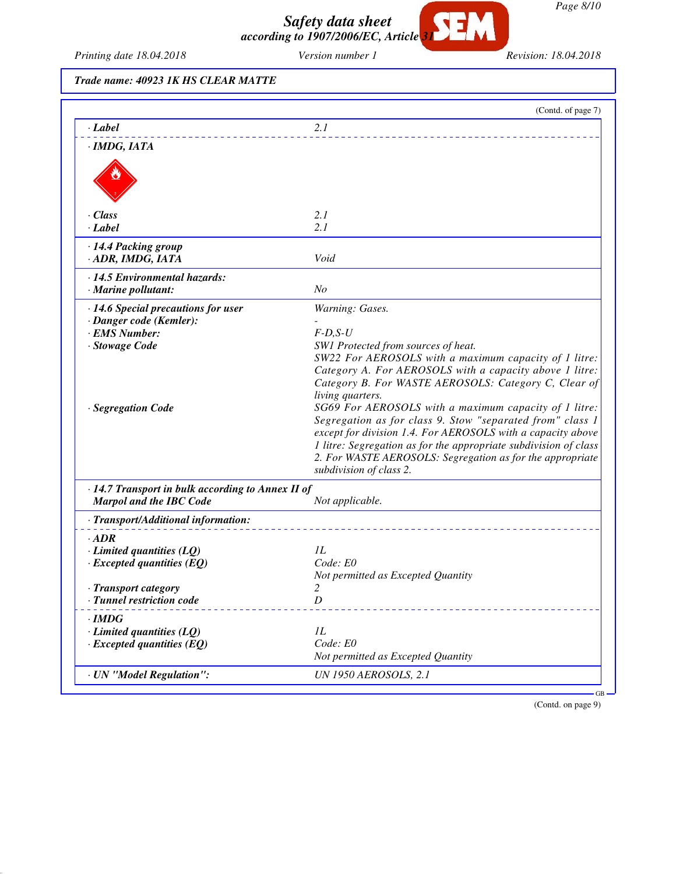*Page 8/10*

*Safety data sheet according to 1907/2006/EC, Article 31*

*Printing date 18.04.2018 Version number 1 Revision: 18.04.2018*

*Trade name: 40923 1K HS CLEAR MATTE*

|                                                            | (Contd. of page 7)                                                                                              |
|------------------------------------------------------------|-----------------------------------------------------------------------------------------------------------------|
| $\cdot$ <i>Label</i>                                       | 2.1                                                                                                             |
| · IMDG, IATA                                               |                                                                                                                 |
|                                                            |                                                                                                                 |
| · Class                                                    | 2.1                                                                                                             |
| $\cdot$ Label                                              | 2.1                                                                                                             |
| · 14.4 Packing group<br>· ADR, IMDG, IATA                  | Void                                                                                                            |
| · 14.5 Environmental hazards:<br>$\cdot$ Marine pollutant: | N <sub>O</sub>                                                                                                  |
| · 14.6 Special precautions for user                        | Warning: Gases.                                                                                                 |
| · Danger code (Kemler):                                    |                                                                                                                 |
| · EMS Number:                                              | $F-D,S-U$                                                                                                       |
| · Stowage Code                                             | SW1 Protected from sources of heat.                                                                             |
|                                                            | SW22 For AEROSOLS with a maximum capacity of 1 litre:                                                           |
|                                                            | Category A. For AEROSOLS with a capacity above 1 litre:<br>Category B. For WASTE AEROSOLS: Category C, Clear of |
|                                                            | living quarters.                                                                                                |
| · Segregation Code                                         | SG69 For AEROSOLS with a maximum capacity of 1 litre:                                                           |
|                                                            | Segregation as for class 9. Stow "separated from" class 1                                                       |
|                                                            | except for division 1.4. For AEROSOLS with a capacity above                                                     |
|                                                            | 1 litre: Segregation as for the appropriate subdivision of class                                                |
|                                                            | 2. For WASTE AEROSOLS: Segregation as for the appropriate                                                       |
|                                                            | subdivision of class 2.                                                                                         |
| $\cdot$ 14.7 Transport in bulk according to Annex II of    |                                                                                                                 |
| <b>Marpol and the IBC Code</b>                             | Not applicable.                                                                                                 |
| · Transport/Additional information:                        |                                                                                                                 |
| $\cdot$ ADR                                                |                                                                                                                 |
| $\cdot$ Limited quantities (LQ)                            | 1L                                                                                                              |
| $\cdot$ Excepted quantities (EQ)                           | Code: E0                                                                                                        |
|                                                            | Not permitted as Excepted Quantity                                                                              |
| · Transport category                                       | 2                                                                                                               |
| · Tunnel restriction code                                  | $\boldsymbol{D}$                                                                                                |
| $\cdot$ IMDG                                               |                                                                                                                 |
| $\cdot$ Limited quantities (LQ)                            | 1L                                                                                                              |
| $\cdot$ Excepted quantities (EQ)                           | Code: E0                                                                                                        |
|                                                            | Not permitted as Excepted Quantity                                                                              |
| · UN "Model Regulation":                                   | <b>UN 1950 AEROSOLS, 2.1</b>                                                                                    |

(Contd. on page 9)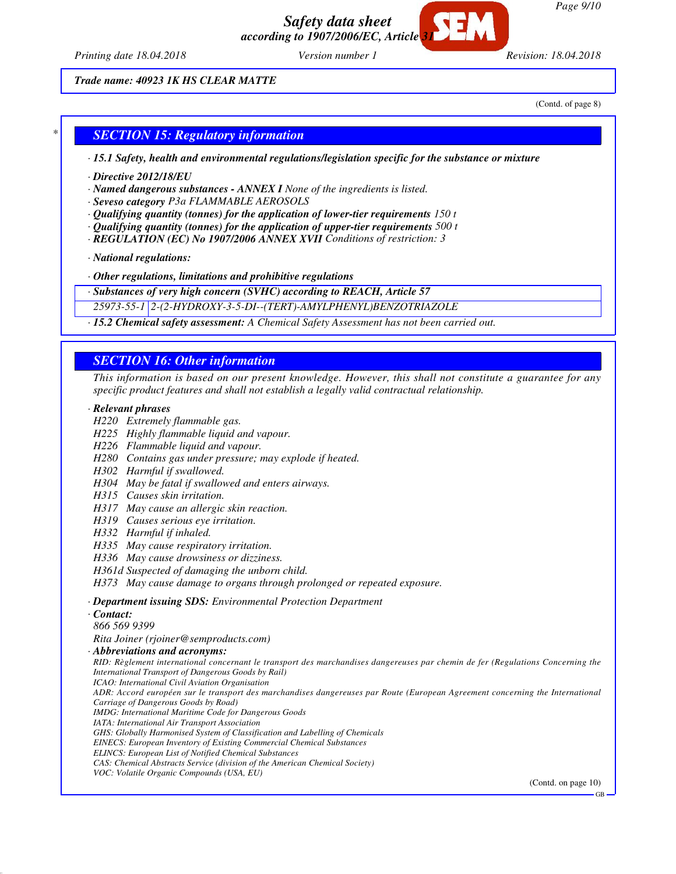*Printing date 18.04.2018 Version number 1 Revision: 18.04.2018*

*Trade name: 40923 1K HS CLEAR MATTE*

(Contd. of page 8)

## *\* SECTION 15: Regulatory information*

*· 15.1 Safety, health and environmental regulations/legislation specific for the substance or mixture*

- *· Directive 2012/18/EU*
- *· Named dangerous substances ANNEX I None of the ingredients is listed.*
- *· Seveso category P3a FLAMMABLE AEROSOLS*
- *· Qualifying quantity (tonnes) for the application of lower-tier requirements 150 t*
- *· Qualifying quantity (tonnes) for the application of upper-tier requirements 500 t*
- *· REGULATION (EC) No 1907/2006 ANNEX XVII Conditions of restriction: 3*
- *· National regulations:*
- *· Other regulations, limitations and prohibitive regulations*
- *· Substances of very high concern (SVHC) according to REACH, Article 57*

*25973-55-1 2-(2-HYDROXY-3-5-DI--(TERT)-AMYLPHENYL)BENZOTRIAZOLE*

*· 15.2 Chemical safety assessment: A Chemical Safety Assessment has not been carried out.*

## *SECTION 16: Other information*

*This information is based on our present knowledge. However, this shall not constitute a guarantee for any specific product features and shall not establish a legally valid contractual relationship.*

#### *· Relevant phrases*

- *H220 Extremely flammable gas.*
- *H225 Highly flammable liquid and vapour.*
- *H226 Flammable liquid and vapour.*
- *H280 Contains gas under pressure; may explode if heated.*
- *H302 Harmful if swallowed.*
- *H304 May be fatal if swallowed and enters airways.*
- *H315 Causes skin irritation.*
- *H317 May cause an allergic skin reaction.*
- *H319 Causes serious eye irritation.*
- *H332 Harmful if inhaled.*
- *H335 May cause respiratory irritation.*
- *H336 May cause drowsiness or dizziness.*
- *H361d Suspected of damaging the unborn child.*
- *H373 May cause damage to organs through prolonged or repeated exposure.*
- *· Department issuing SDS: Environmental Protection Department*
- *· Contact:*
- *866 569 9399*
- *Rita Joiner (rjoiner@semproducts.com)*
- *· Abbreviations and acronyms:*
- *RID: Règlement international concernant le transport des marchandises dangereuses par chemin de fer (Regulations Concerning the International Transport of Dangerous Goods by Rail)*
- *ICAO: International Civil Aviation Organisation*
- *ADR: Accord européen sur le transport des marchandises dangereuses par Route (European Agreement concerning the International Carriage of Dangerous Goods by Road)*
- *IMDG: International Maritime Code for Dangerous Goods*
- *IATA: International Air Transport Association*
- *GHS: Globally Harmonised System of Classification and Labelling of Chemicals*
- *EINECS: European Inventory of Existing Commercial Chemical Substances*
- *ELINCS: European List of Notified Chemical Substances*
- *CAS: Chemical Abstracts Service (division of the American Chemical Society)*
- *VOC: Volatile Organic Compounds (USA, EU)*

(Contd. on page 10)